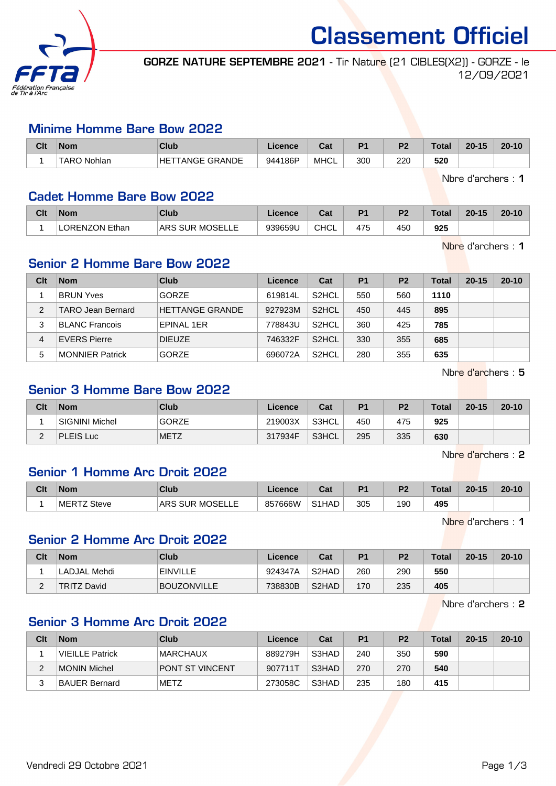

Classement Officiel

GORZE NATURE SEPTEMBRE 2021 - Tir Nature (21 CIBLES(X2)) - GORZE - le 12/09/2021

#### Minime Homme Bare Bow 2022

| Clt | <b>Nom</b>            | <b>Club</b>                       | icence  | <b>Dol</b>  | D4  | D <sub>0</sub> | Tota | $20 - 15$ | $20 - 10$ |
|-----|-----------------------|-----------------------------------|---------|-------------|-----|----------------|------|-----------|-----------|
|     | <b>TARO</b><br>Nohlan | <b><i>TANGE GRANDE</i></b><br>HET | 944186P | <b>MHCL</b> | 300 | 220            | 520  |           |           |

Nbre d'archers : 1

#### Cadet Homme Bare Bow 2022

| Clt | <b>Nom</b>           | <b>Club</b>     | Licence | ີ້<br>ua    | D <sub>1</sub> | D <sub>2</sub> | Total | $20 - 15$ | $20 - 10$ |
|-----|----------------------|-----------------|---------|-------------|----------------|----------------|-------|-----------|-----------|
|     | <b>ORENZON Ethan</b> | ARS SUR MOSELLE | 939659U | <b>CHCL</b> | 475            | 450            | 925   |           |           |

Nbre d'archers : 1

# Senior 2 Homme Bare Bow 2022

| Clt | <b>Nom</b>             | Club                   | Licence | Cat                | <b>P1</b> | P <sub>2</sub> | <b>Total</b> | $20 - 15$ | $20 - 10$ |
|-----|------------------------|------------------------|---------|--------------------|-----------|----------------|--------------|-----------|-----------|
|     | <b>BRUN Yves</b>       | <b>GORZE</b>           | 619814L | S <sub>2</sub> HCL | 550       | 560            | 1110         |           |           |
| 2   | TARO Jean Bernard      | <b>HETTANGE GRANDE</b> | 927923M | S <sub>2</sub> HCL | 450       | 445            | 895          |           |           |
| 3   | <b>BLANC Francois</b>  | <b>EPINAL 1ER</b>      | 778843U | S <sub>2</sub> HCL | 360       | 425            | 785          |           |           |
| 4   | <b>EVERS Pierre</b>    | <b>DIEUZE</b>          | 746332F | S <sub>2</sub> HCL | 330       | 355            | 685          |           |           |
| 5   | <b>MONNIER Patrick</b> | <b>GORZE</b>           | 696072A | S <sub>2</sub> HCL | 280       | 355            | 635          |           |           |

Nbre d'archers : 5

## Senior 3 Homme Bare Bow 2022

| Clt      | <b>Nom</b>            | Club         | Licence | Cat   | P <sub>1</sub> | P <sub>2</sub> | <b>Total</b> | $20 - 15$ | $20 - 10$ |
|----------|-----------------------|--------------|---------|-------|----------------|----------------|--------------|-----------|-----------|
|          | <b>SIGNINI Michel</b> | <b>GORZE</b> | 219003X | S3HCL | 450            | 475            | 925          |           |           |
| <u>_</u> | <b>PLEIS Luc</b>      | <b>METZ</b>  | 317934F | S3HCL | 295            | 335            | 630          |           |           |

Nbre d'archers : 2

### Senior 1 Homme Arc Droit 2022

| Clt | <b>Nom</b>        | Club                          | <i>icence</i> | ∩^∙<br>⊍તા         | D.  | ng. | Total | $20 - 15$ | $20 - 10$ |
|-----|-------------------|-------------------------------|---------------|--------------------|-----|-----|-------|-----------|-----------|
|     | $MERT^2$<br>Steve | MOSELLE<br><b>SUR</b><br>'ARS | 857666W       | S <sub>1</sub> HAD | 305 | 190 | 495   |           |           |

Nbre d'archers : 1

# Senior 2 Homme Arc Droit 2022

| Clt | <b>Nom</b>         | Club               | Licence | Cat                            | P1  | P <sub>2</sub> | <b>Total</b> | $20 - 15$ | $20 - 10$ |
|-----|--------------------|--------------------|---------|--------------------------------|-----|----------------|--------------|-----------|-----------|
|     | LADJAL Mehdi       | <b>EINVILLE</b>    | 924347A | S <sub>2</sub> HAD             | 260 | 290            | 550          |           |           |
| L   | <b>TRITZ David</b> | <b>BOUZONVILLE</b> | 738830B | S <sub>2</sub> H <sub>AD</sub> | 170 | 235            | 405          |           |           |

Nbre d'archers : 2

# Senior 3 Homme Arc Droit 2022

| Clt | <b>Nom</b>      | Club                   | <b>Licence</b> | Cat   | P <sub>1</sub> | P <sub>2</sub> | <b>Total</b> | $20 - 15$ | $20 - 10$ |
|-----|-----------------|------------------------|----------------|-------|----------------|----------------|--------------|-----------|-----------|
|     | VIEILLE Patrick | <b>MARCHAUX</b>        | 889279H        | S3HAD | 240            | 350            | 590          |           |           |
|     | MONIN Michel    | <b>PONT ST VINCENT</b> | 907711T        | S3HAD | 270            | 270            | 540          |           |           |
| っ   | BAUER Bernard   | <b>METZ</b>            | 273058C        | S3HAD | 235            | 180            | 415          |           |           |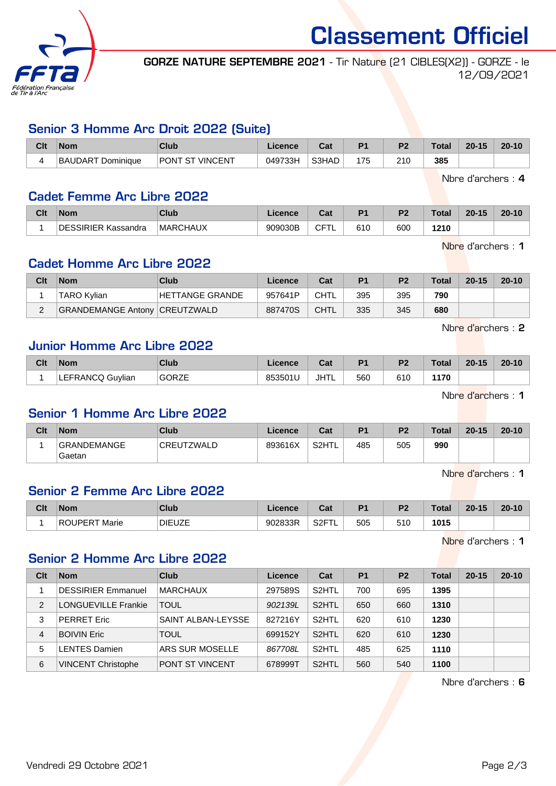

Classement Officiel

GORZE NATURE SEPTEMBRE 2021 - Tir Nature (21 CIBLES(X2)) - GORZE - le 12/09/2021

### Senior 3 Homme Arc Droit 2022 (Suite)

| Clt | <b>Nom</b>                               | Club            | Licence | $\sim$<br>va. | D <sub>4</sub> | D.  | Total | $20 - 15$ | $20 - 10$ |
|-----|------------------------------------------|-----------------|---------|---------------|----------------|-----|-------|-----------|-----------|
|     | <sup>-</sup> Dominiaue<br><b>BAUDART</b> | PONT ST VINCENT | 049733H | S3HAD         | 175            | 210 | 385   |           |           |

Nbre d'archers : 4

## Cadet Femme Arc Libre 2022

| Clt | <b>Nom</b>          | Club            | Licence | <b>DAL</b><br>⊍a | D <sub>1</sub> | D <sub>0</sub> | `otal | $20 - 15$ | $20 - 10$ |
|-----|---------------------|-----------------|---------|------------------|----------------|----------------|-------|-----------|-----------|
|     | DESSIRIER Kassandra | <b>MARCHAUX</b> | 909030B | ੶⊏⊤<br>ັ         | 610            | 600            | 210   |           |           |

Nbre d'archers : 1

## Cadet Homme Arc Libre 2022

| Clt | <b>Nom</b>                           | Club            | Licence | Cat         | P <sub>1</sub> | P <sub>2</sub> | <b>Total</b> | $20 - 15$ | $20 - 10$ |
|-----|--------------------------------------|-----------------|---------|-------------|----------------|----------------|--------------|-----------|-----------|
|     | TARO Kvlian                          | HETTANGE GRANDE | 957641P | CHTL        | 395            | 395            | 790          |           |           |
| ⌒   | <b>GRANDEMANGE Antony CREUTZWALD</b> |                 | 887470S | <b>CHTL</b> | 335            | 345            | 680          |           |           |

Nbre d'archers : 2

## Junior Homme Arc Libre 2022

| Clt | <b>Nom</b>                 | Club                              | Licence | $R_{\rm eff}$<br>ual | D <sub>1</sub> | D <sub>2</sub> | <b>Total</b> | $20 - 15$ | $20 - 10$ |
|-----|----------------------------|-----------------------------------|---------|----------------------|----------------|----------------|--------------|-----------|-----------|
|     | LEFRANCQ<br><b>Guylian</b> | <b>GORZE</b><br>$\sim$ . $\sim$ . | 853501L | JHTL                 | 560            | 610            | 1170         |           |           |

Nbre d'archers : 1

### Senior 1 Homme Arc Libre 2022

| Clt | <b>Nom</b>                   | Club            | Licence | Cat   | D <sub>1</sub> | <b>P</b> | <b>Total</b> | $20 - 15$ | $20 - 10$ |
|-----|------------------------------|-----------------|---------|-------|----------------|----------|--------------|-----------|-----------|
|     | <b>GRANDEMANGE</b><br>Gaetan | UTZWALD<br>CREL | 893616X | S2HTL | 485            | 505      | 990          |           |           |

Nbre d'archers : 1

# Senior 2 Femme Arc Libre 2022

| Clt | <b>Nom</b>             | Club          | Licence | <b>Date</b><br>ual | D <sub>1</sub> | D <sub>2</sub> | <b>Total</b> | $20 - 15$ | $20 - 10$ |
|-----|------------------------|---------------|---------|--------------------|----------------|----------------|--------------|-----------|-----------|
|     | Marie<br><b>ROUPER</b> | <b>DIEUZE</b> | 902833R | C<br>⊤∠ت           | 505            | 510            | 1015         |           |           |

Nbre d'archers : 1

## Senior 2 Homme Arc Libre 2022

| Clt            | <b>Nom</b>                 | Club                   | Licence | Cat                | P <sub>1</sub> | P <sub>2</sub> | <b>Total</b> | $20 - 15$ | $20 - 10$ |
|----------------|----------------------------|------------------------|---------|--------------------|----------------|----------------|--------------|-----------|-----------|
|                | <b>DESSIRIER Emmanuel</b>  | <b>MARCHAUX</b>        | 297589S | S <sub>2</sub> HTL | 700            | 695            | 1395         |           |           |
| $\overline{2}$ | <b>LONGUEVILLE Frankie</b> | <b>TOUL</b>            | 902139L | S <sub>2</sub> HTL | 650            | 660            | 1310         |           |           |
| 3              | <b>PERRET Eric</b>         | SAINT ALBAN-LEYSSE     | 827216Y | S <sub>2</sub> HTL | 620            | 610            | 1230         |           |           |
| 4              | <b>BOIVIN Eric</b>         | <b>TOUL</b>            | 699152Y | S <sub>2</sub> HTL | 620            | 610            | 1230         |           |           |
| 5              | <b>LENTES Damien</b>       | ARS SUR MOSELLE        | 867708L | S <sub>2</sub> HTL | 485            | 625            | 1110         |           |           |
| 6              | <b>VINCENT Christophe</b>  | <b>PONT ST VINCENT</b> | 678999T | S <sub>2</sub> HTL | 560            | 540            | 1100         |           |           |

Nbre d'archers : 6